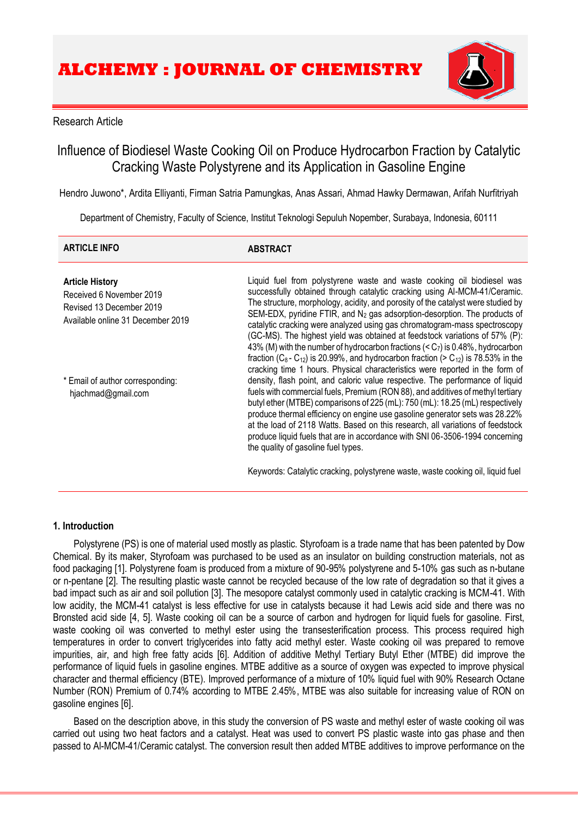

# Research Article

# Influence of Biodiesel Waste Cooking Oil on Produce Hydrocarbon Fraction by Catalytic Cracking Waste Polystyrene and its Application in Gasoline Engine

Hendro Juwono\*, Ardita Elliyanti, Firman Satria Pamungkas, Anas Assari, Ahmad Hawky Dermawan, Arifah Nurfitriyah

Department of Chemistry, Faculty of Science, Institut Teknologi Sepuluh Nopember, Surabaya, Indonesia, 60111

| <b>ARTICLE INFO</b>                                                                                                 | <b>ABSTRACT</b>                                                                                                                                                                                                                                                                                                                                                                                                                                                                                                                                                                                                                                                                                                                                                   |
|---------------------------------------------------------------------------------------------------------------------|-------------------------------------------------------------------------------------------------------------------------------------------------------------------------------------------------------------------------------------------------------------------------------------------------------------------------------------------------------------------------------------------------------------------------------------------------------------------------------------------------------------------------------------------------------------------------------------------------------------------------------------------------------------------------------------------------------------------------------------------------------------------|
| <b>Article History</b><br>Received 6 November 2019<br>Revised 13 December 2019<br>Available online 31 December 2019 | Liquid fuel from polystyrene waste and waste cooking oil biodiesel was<br>successfully obtained through catalytic cracking using AI-MCM-41/Ceramic.<br>The structure, morphology, acidity, and porosity of the catalyst were studied by<br>SEM-EDX, pyridine FTIR, and N <sub>2</sub> gas adsorption-desorption. The products of<br>catalytic cracking were analyzed using gas chromatogram-mass spectroscopy<br>(GC-MS). The highest yield was obtained at feedstock variations of 57% (P):<br>43% (M) with the number of hydrocarbon fractions $(C7)$ is 0.48%, hydrocarbon<br>fraction ( $C_8$ - $C_{12}$ ) is 20.99%, and hydrocarbon fraction (> $C_{12}$ ) is 78.53% in the<br>cracking time 1 hours. Physical characteristics were reported in the form of |
| * Email of author corresponding:<br>hjachmad@gmail.com                                                              | density, flash point, and caloric value respective. The performance of liquid<br>fuels with commercial fuels, Premium (RON 88), and additives of methyl tertiary<br>butyl ether (MTBE) comparisons of 225 (mL): 750 (mL): 18.25 (mL) respectively<br>produce thermal efficiency on engine use gasoline generator sets was 28.22%<br>at the load of 2118 Watts. Based on this research, all variations of feedstock<br>produce liquid fuels that are in accordance with SNI 06-3506-1994 concerning<br>the quality of gasoline fuel types.                                                                                                                                                                                                                         |
|                                                                                                                     | Keywords: Catalytic cracking, polystyrene waste, waste cooking oil, liquid fuel                                                                                                                                                                                                                                                                                                                                                                                                                                                                                                                                                                                                                                                                                   |

# **1. Introduction**

Polystyrene (PS) is one of material used mostly as plastic. Styrofoam is a trade name that has been patented by Dow Chemical. By its maker, Styrofoam was purchased to be used as an insulator on building construction materials, not as food packaging [\[1\]](#page-7-0). Polystyrene foam is produced from a mixture of 90-95% polystyrene and 5-10% gas such as n-butane or n-pentane [\[2\]](#page-7-1). The resulting plastic waste cannot be recycled because of the low rate of degradation so that it gives a bad impact such as air and soil pollution [\[3\].](#page-7-2) The mesopore catalyst commonly used in catalytic cracking is MCM-41. With low acidity, the MCM-41 catalyst is less effective for use in catalysts because it had Lewis acid side and there was no Bronsted acid side [\[4,](#page-7-3) [5\]](#page-7-4). Waste cooking oil can be a source of carbon and hydrogen for liquid fuels for gasoline. First, waste cooking oil was converted to methyl ester using the transesterification process. This process required high temperatures in order to convert triglycerides into fatty acid methyl ester. Waste cooking oil was prepared to remove impurities, air, and high free fatty acids [\[6\].](#page-7-5) Addition of additive Methyl Tertiary Butyl Ether (MTBE) did improve the performance of liquid fuels in gasoline engines. MTBE additive as a source of oxygen was expected to improve physical character and thermal efficiency (BTE). Improved performance of a mixture of 10% liquid fuel with 90% Research Octane Number (RON) Premium of 0.74% according to MTBE 2.45%, MTBE was also suitable for increasing value of RON on gasoline engines [\[6\]](#page-7-5).

Based on the description above, in this study the conversion of PS waste and methyl ester of waste cooking oil was carried out using two heat factors and a catalyst. Heat was used to convert PS plastic waste into gas phase and then passed to Al-MCM-41/Ceramic catalyst. The conversion result then added MTBE additives to improve performance on the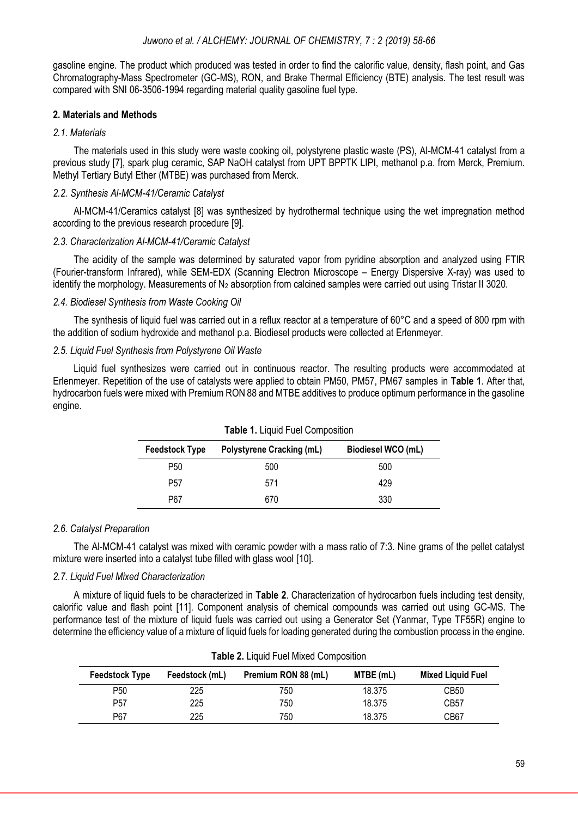gasoline engine. The product which produced was tested in order to find the calorific value, density, flash point, and Gas Chromatography-Mass Spectrometer (GC-MS), RON, and Brake Thermal Efficiency (BTE) analysis. The test result was compared with SNI 06-3506-1994 regarding material quality gasoline fuel type.

# **2. Materials and Methods**

### *2.1. Materials*

The materials used in this study were waste cooking oil, polystyrene plastic waste (PS), Al-MCM-41 catalyst from a previous study [7], spark plug ceramic, SAP NaOH catalyst from UPT BPPTK LIPI, methanol p.a. from Merck, Premium. Methyl Tertiary Butyl Ether (MTBE) was purchased from Merck.

# *2.2. Synthesis Al-MCM-41/Ceramic Catalyst*

Al-MCM-41/Ceramics catalyst [8] was synthesized by hydrothermal technique using the wet impregnation method according to the previous research procedure [9].

# *2.3. Characterization Al-MCM-41/Ceramic Catalyst*

The acidity of the sample was determined by saturated vapor from pyridine absorption and analyzed using FTIR (Fourier-transform Infrared), while SEM-EDX (Scanning Electron Microscope – Energy Dispersive X-ray) was used to identify the morphology. Measurements of  $N_2$  absorption from calcined samples were carried out using Tristar II 3020.

### *2.4. Biodiesel Synthesis from Waste Cooking Oil*

The synthesis of liquid fuel was carried out in a reflux reactor at a temperature of 60°C and a speed of 800 rpm with the addition of sodium hydroxide and methanol p.a. Biodiesel products were collected at Erlenmeyer.

# *2.5. Liquid Fuel Synthesis from Polystyrene Oil Waste*

Liquid fuel synthesizes were carried out in continuous reactor. The resulting products were accommodated at Erlenmeyer. Repetition of the use of catalysts were applied to obtain PM50, PM57, PM67 samples in **Table 1**. After that, hydrocarbon fuels were mixed with Premium RON 88 and MTBE additives to produce optimum performance in the gasoline engine.

| <b>Table 1.</b> Liquid Fuel Composition |                                  |                    |  |
|-----------------------------------------|----------------------------------|--------------------|--|
| <b>Feedstock Type</b>                   | <b>Polystyrene Cracking (mL)</b> | Biodiesel WCO (mL) |  |
| P50                                     | 500                              | 500                |  |
| P <sub>57</sub>                         | 571                              | 429                |  |
| P67                                     | 670                              | 330                |  |

|  |  |  |  | Table 1. Liquid Fuel Composition |  |
|--|--|--|--|----------------------------------|--|
|--|--|--|--|----------------------------------|--|

### *2.6. Catalyst Preparation*

The Al-MCM-41 catalyst was mixed with ceramic powder with a mass ratio of 7:3. Nine grams of the pellet catalyst mixture were inserted into a catalyst tube filled with glass wool [10].

### *2.7. Liquid Fuel Mixed Characterization*

A mixture of liquid fuels to be characterized in **Table 2**. Characterization of hydrocarbon fuels including test density, calorific value and flash point [11]. Component analysis of chemical compounds was carried out using GC-MS. The performance test of the mixture of liquid fuels was carried out using a Generator Set (Yanmar, Type TF55R) engine to determine the efficiency value of a mixture of liquid fuels for loading generated during the combustion process in the engine.

| <b>Table 2.</b> Liquid Fuel Mixed Composition |                |                     |           |                          |
|-----------------------------------------------|----------------|---------------------|-----------|--------------------------|
| Feedstock Type                                | Feedstock (mL) | Premium RON 88 (mL) | MTBE (mL) | <b>Mixed Liquid Fuel</b> |
| P <sub>50</sub>                               | 225            | 750                 | 18.375    | CB <sub>50</sub>         |
| P <sub>57</sub>                               | 225            | 750                 | 18.375    | CB <sub>57</sub>         |
| P67                                           | 225            | 750                 | 18.375    | CB67                     |

|  | Table 2. Liquid Fuel Mixed Composition |  |
|--|----------------------------------------|--|
|--|----------------------------------------|--|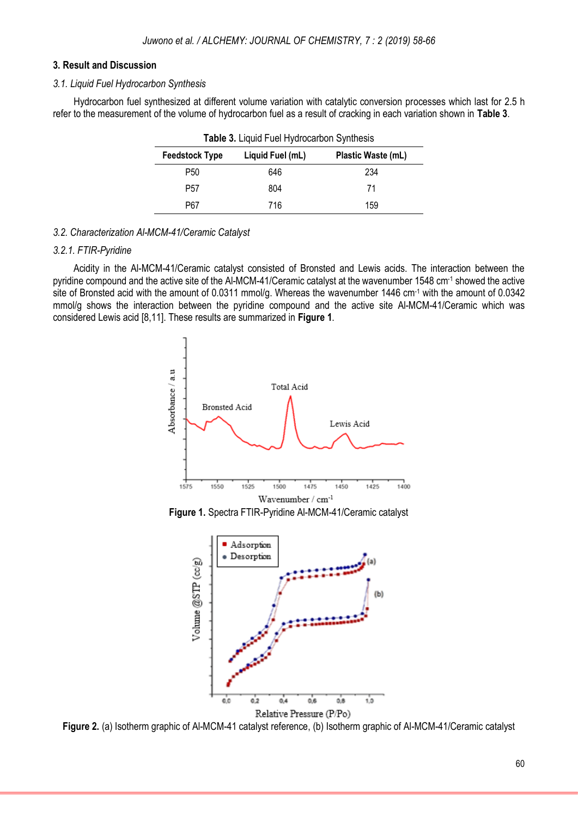### **3. Result and Discussion**

### *3.1. Liquid Fuel Hydrocarbon Synthesis*

Hydrocarbon fuel synthesized at different volume variation with catalytic conversion processes which last for 2.5 h refer to the measurement of the volume of hydrocarbon fuel as a result of cracking in each variation shown in **Table 3**.

| <b>Feedstock Type</b> | Liquid Fuel (mL) | Plastic Waste (mL) |
|-----------------------|------------------|--------------------|
| P50                   | 646              | 234                |
| P57                   | 804              | 71                 |
| P67                   | 716              | 159                |

# *3.2. Characterization Al-MCM-41/Ceramic Catalyst*

# *3.2.1. FTIR-Pyridine*

Acidity in the Al-MCM-41/Ceramic catalyst consisted of Bronsted and Lewis acids. The interaction between the pyridine compound and the active site of the Al-MCM-41/Ceramic catalyst at the wavenumber 1548 cm-1 showed the active site of Bronsted acid with the amount of 0.0311 mmol/g. Whereas the wavenumber 1446 cm<sup>-1</sup> with the amount of 0.0342 mmol/g shows the interaction between the pyridine compound and the active site Al-MCM-41/Ceramic which was considered Lewis acid [8,11]. These results are summarized in **Figure 1**.



**Figure 1.** Spectra FTIR-Pyridine Al-MCM-41/Ceramic catalyst



**Figure 2.** (a) Isotherm graphic of Al-MCM-41 catalyst reference, (b) Isotherm graphic of Al-MCM-41/Ceramic catalyst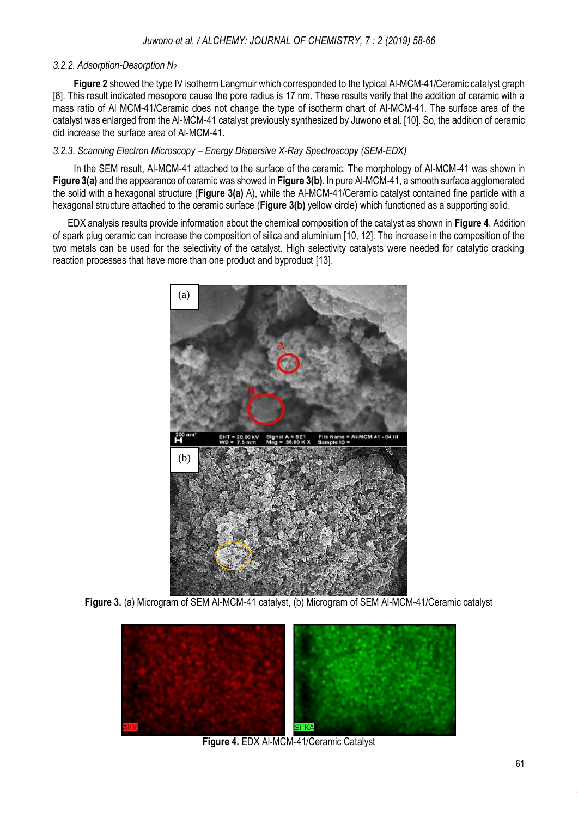# *3.2.2. Adsorption-Desorption N<sup>2</sup>*

**Figure 2** showed the type IV isotherm Langmuir which corresponded to the typical Al-MCM-41/Ceramic catalyst graph [8]. This result indicated mesopore cause the pore radius is 17 nm. These results verify that the addition of ceramic with a mass ratio of Al MCM-41/Ceramic does not change the type of isotherm chart of Al-MCM-41. The surface area of the catalyst was enlarged from the Al-MCM-41 catalyst previously synthesized by Juwono et al. [10]. So, the addition of ceramic did increase the surface area of Al-MCM-41.

# *3.2.3. Scanning Electron Microscopy – Energy Dispersive X-Ray Spectroscopy (SEM-EDX)*

In the SEM result, Al-MCM-41 attached to the surface of the ceramic. The morphology of Al-MCM-41 was shown in **Figure 3(a)** and the appearance of ceramic was showed in **Figure 3(b)**. In pure Al-MCM-41, a smooth surface agglomerated the solid with a hexagonal structure (**Figure 3(a)** A), while the Al-MCM-41/Ceramic catalyst contained fine particle with a hexagonal structure attached to the ceramic surface (**Figure 3(b)** yellow circle) which functioned as a supporting solid.

 EDX analysis results provide information about the chemical composition of the catalyst as shown in **Figure 4**. Addition of spark plug ceramic can increase the composition of silica and aluminium [10, 12]. The increase in the composition of the two metals can be used for the selectivity of the catalyst. High selectivity catalysts were needed for catalytic cracking reaction processes that have more than one product and byproduct [\[13](#page-7-6)].



**Figure 3.** (a) Microgram of SEM Al-MCM-41 catalyst, (b) Microgram of SEM Al-MCM-41/Ceramic catalyst



**Figure 4.** EDX Al-MCM-41/Ceramic Catalyst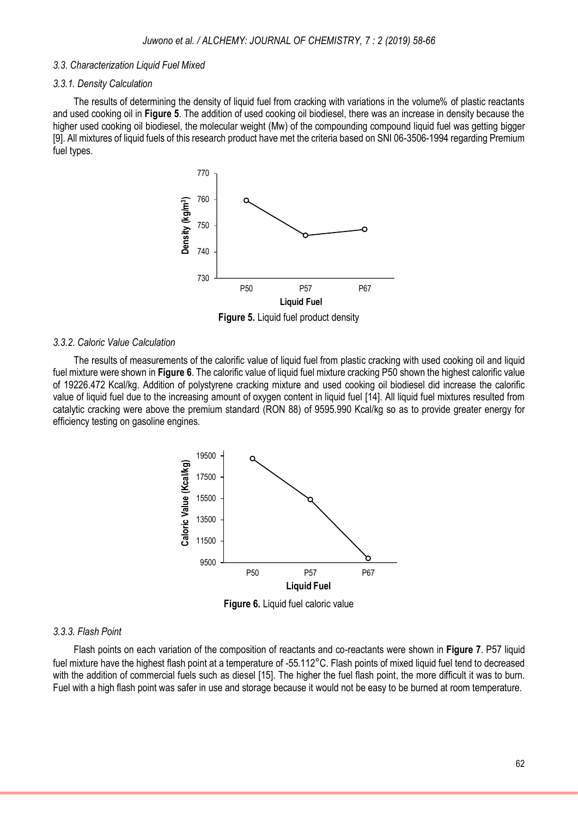#### *3.3. Characterization Liquid Fuel Mixed*

#### *3.3.1. Density Calculation*

The results of determining the density of liquid fuel from cracking with variations in the volume% of plastic reactants and used cooking oil in **Figure 5**. The addition of used cooking oil biodiesel, there was an increase in density because the higher used cooking oil biodiesel, the molecular weight (Mw) of the compounding compound liquid fuel was getting bigger [9]. All mixtures of liquid fuels of this research product have met the criteria based on SNI 06-3506-1994 regarding Premium fuel types.



**Figure 5.** Liquid fuel product density

#### *3.3.2. Caloric Value Calculation*

The results of measurements of the calorific value of liquid fuel from plastic cracking with used cooking oil and liquid fuel mixture were shown in **Figure 6**. The calorific value of liquid fuel mixture cracking P50 shown the highest calorific value of 19226.472 Kcal/kg. Addition of polystyrene cracking mixture and used cooking oil biodiesel did increase the calorific value of liquid fuel due to the increasing amount of oxygen content in liquid fuel [\[14](#page-7-7)]. All liquid fuel mixtures resulted from catalytic cracking were above the premium standard (RON 88) of 9595.990 Kcal/kg so as to provide greater energy for efficiency testing on gasoline engines.



**Figure 6.** Liquid fuel caloric value

#### *3.3.3. Flash Point*

Flash points on each variation of the composition of reactants and co-reactants were shown in **Figure 7**. P57 liquid fuel mixture have the highest flash point at a temperature of -55.112°C. Flash points of mixed liquid fuel tend to decreased with the addition of commercial fuels such as diesel [\[15](#page-7-8)]. The higher the fuel flash point, the more difficult it was to burn. Fuel with a high flash point was safer in use and storage because it would not be easy to be burned at room temperature.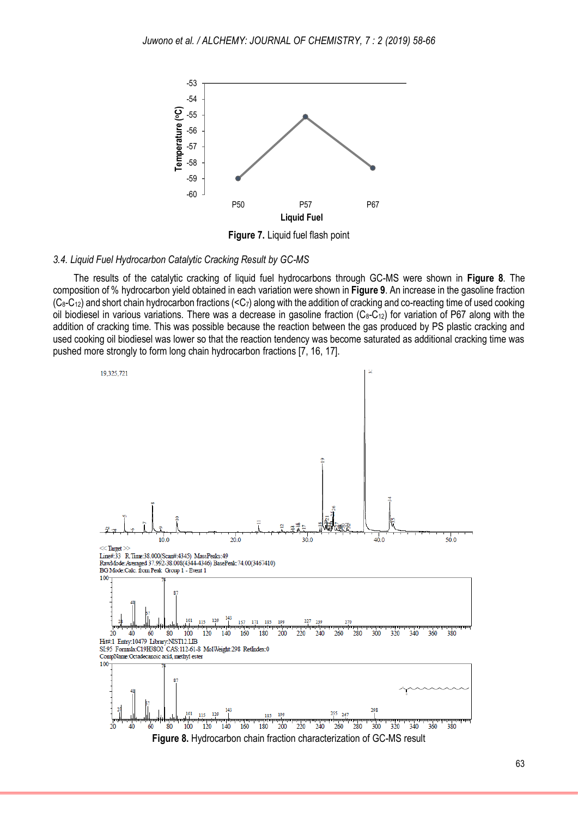

#### *3.4. Liquid Fuel Hydrocarbon Catalytic Cracking Result by GC-MS*

The results of the catalytic cracking of liquid fuel hydrocarbons through GC-MS were shown in **Figure 8**. The composition of % hydrocarbon yield obtained in each variation were shown in **Figure 9**. An increase in the gasoline fraction  $(C_8-C_{12})$  and short chain hydrocarbon fractions  $(*C*<sub>7</sub>)$  along with the addition of cracking and co-reacting time of used cooking oil biodiesel in various variations. There was a decrease in gasoline fraction  $(C_8-C_{12})$  for variation of P67 along with the addition of cracking time. This was possible because the reaction between the gas produced by PS plastic cracking and used cooking oil biodiesel was lower so that the reaction tendency was become saturated as additional cracking time was pushed more strongly to form long chain hydrocarbon fractions [7, 16, 17].

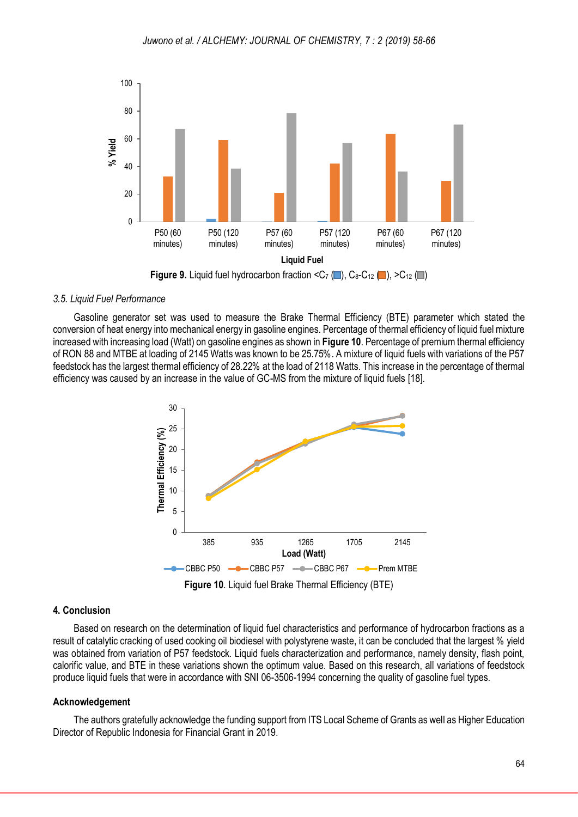

#### *3.5. Liquid Fuel Performance*

Gasoline generator set was used to measure the Brake Thermal Efficiency (BTE) parameter which stated the conversion of heat energy into mechanical energy in gasoline engines. Percentage of thermal efficiency of liquid fuel mixture increased with increasing load (Watt) on gasoline engines as shown in **Figure 10**. Percentage of premium thermal efficiency of RON 88 and MTBE at loading of 2145 Watts was known to be 25.75%. A mixture of liquid fuels with variations of the P57 feedstock has the largest thermal efficiency of 28.22% at the load of 2118 Watts. This increase in the percentage of thermal efficiency was caused by an increase in the value of GC-MS from the mixture of liquid fuels [\[18\]](#page-7-9).



#### **4. Conclusion**

Based on research on the determination of liquid fuel characteristics and performance of hydrocarbon fractions as a result of catalytic cracking of used cooking oil biodiesel with polystyrene waste, it can be concluded that the largest % yield was obtained from variation of P57 feedstock. Liquid fuels characterization and performance, namely density, flash point, calorific value, and BTE in these variations shown the optimum value. Based on this research, all variations of feedstock produce liquid fuels that were in accordance with SNI 06-3506-1994 concerning the quality of gasoline fuel types.

#### **Acknowledgement**

The authors gratefully acknowledge the funding support from ITS Local Scheme of Grants as well as Higher Education Director of Republic Indonesia for Financial Grant in 2019.